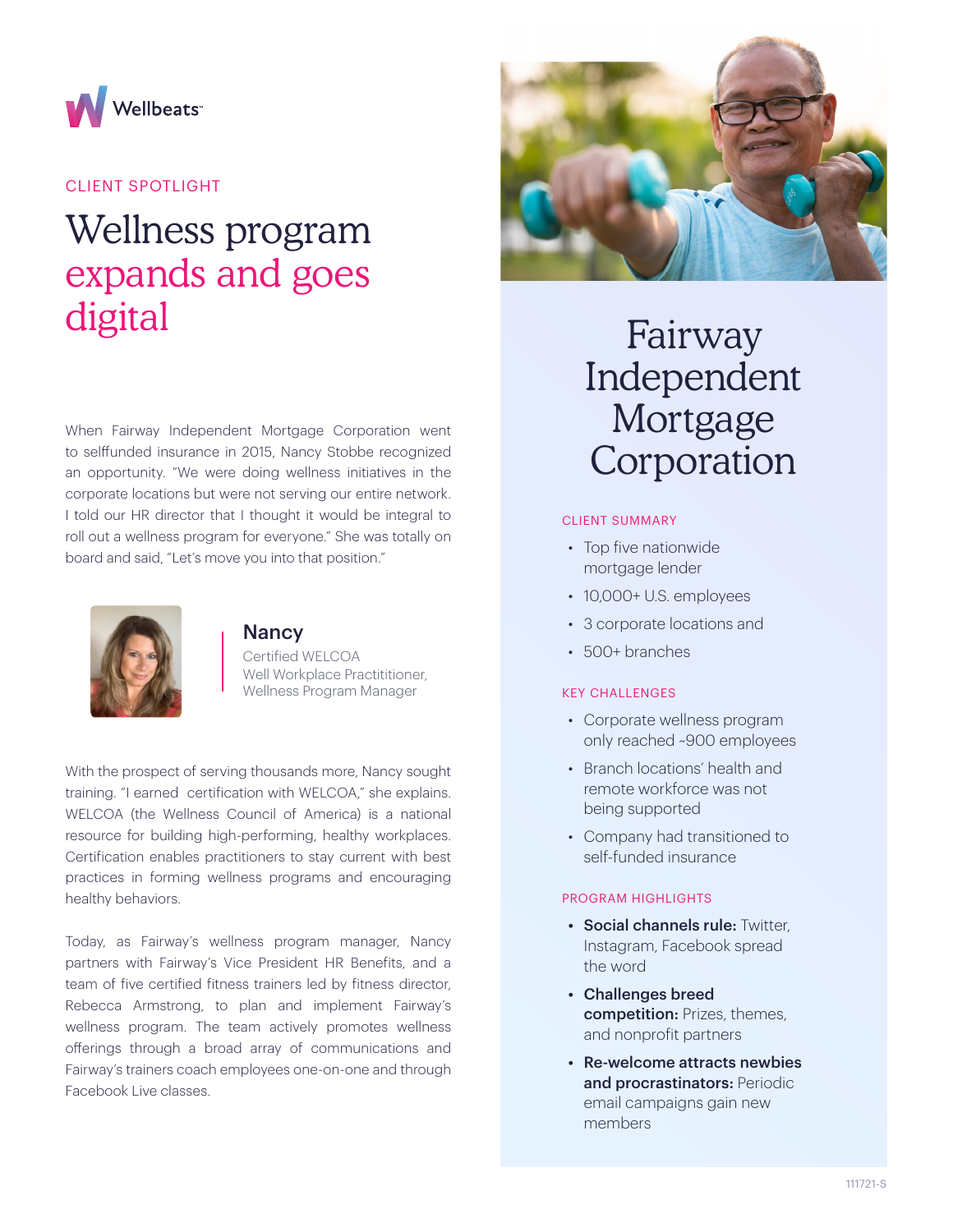

## CLIENT SPOTLIGHT

# Wellness program expands and goes digital

When Fairway Independent Mortgage Corporation went to selffunded insurance in 2015, Nancy Stobbe recognized an opportunity. "We were doing wellness initiatives in the corporate locations but were not serving our entire network. I told our HR director that I thought it would be integral to roll out a wellness program for everyone." She was totally on board and said, "Let's move you into that position."



### **Nancy**

Certified WELCOA Well Workplace Practititioner, Wellness Program Manager

With the prospect of serving thousands more, Nancy sought training. "I earned certification with WELCOA," she explains. WELCOA (the Wellness Council of America) is a national resource for building high-performing, healthy workplaces. Certification enables practitioners to stay current with best practices in forming wellness programs and encouraging healthy behaviors.

Today, as Fairway's wellness program manager, Nancy partners with Fairway's Vice President HR Benefits, and a team of five certified fitness trainers led by fitness director, Rebecca Armstrong, to plan and implement Fairway's wellness program. The team actively promotes wellness offerings through a broad array of communications and Fairway's trainers coach employees one-on-one and through Facebook Live classes.



## Fairway Independent Mortgage Corporation

#### CLIENT SUMMARY

- Top five nationwide mortgage lender
- 10,000+ U.S. employees
- 3 corporate locations and
- 500+ branches

## KEY CHALLENGES

- Corporate wellness program only reached ~900 employees
- Branch locations' health and remote workforce was not being supported
- Company had transitioned to self-funded insurance

#### PROGRAM HIGHLIGHTS

- Social channels rule: Twitter, Instagram, Facebook spread the word
- Challenges breed competition: Prizes, themes, and nonprofit partners
- Re-welcome attracts newbies and procrastinators: Periodic email campaigns gain new members